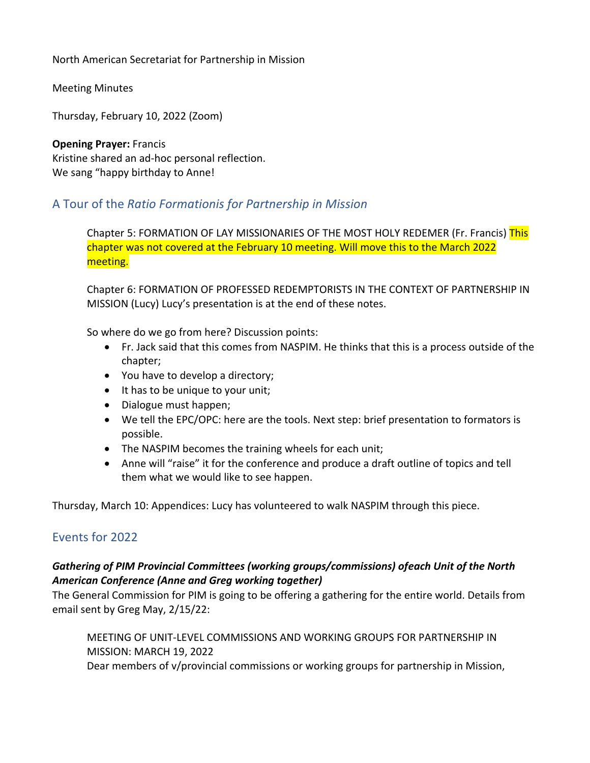North American Secretariat for Partnership in Mission

Meeting Minutes

Thursday, February 10, 2022 (Zoom)

**Opening Prayer:** Francis Kristine shared an ad-hoc personal reflection. We sang "happy birthday to Anne!

# A Tour of the *Ratio Formationis for Partnership in Mission*

Chapter 5: FORMATION OF LAY MISSIONARIES OF THE MOST HOLY REDEMER (Fr. Francis) This chapter was not covered at the February 10 meeting. Will move this to the March 2022 meeting.

Chapter 6: FORMATION OF PROFESSED REDEMPTORISTS IN THE CONTEXT OF PARTNERSHIP IN MISSION (Lucy) Lucy's presentation is at the end of these notes.

So where do we go from here? Discussion points:

- Fr. Jack said that this comes from NASPIM. He thinks that this is a process outside of the chapter;
- You have to develop a directory;
- It has to be unique to your unit;
- Dialogue must happen;
- We tell the EPC/OPC: here are the tools. Next step: brief presentation to formators is possible.
- The NASPIM becomes the training wheels for each unit;
- Anne will "raise" it for the conference and produce a draft outline of topics and tell them what we would like to see happen.

Thursday, March 10: Appendices: Lucy has volunteered to walk NASPIM through this piece.

# Events for 2022

## *Gathering of PIM Provincial Committees (working groups/commissions) of each Unit of the North American Conference (Anne and Greg working together)*

The General Commission for PIM is going to be offering a gathering for the entire world. Details from email sent by Greg May, 2/15/22:

MEETING OF UNIT-LEVEL COMMISSIONS AND WORKING GROUPS FOR PARTNERSHIP IN MISSION: MARCH 19, 2022

Dear members of v/provincial commissions or working groups for partnership in Mission,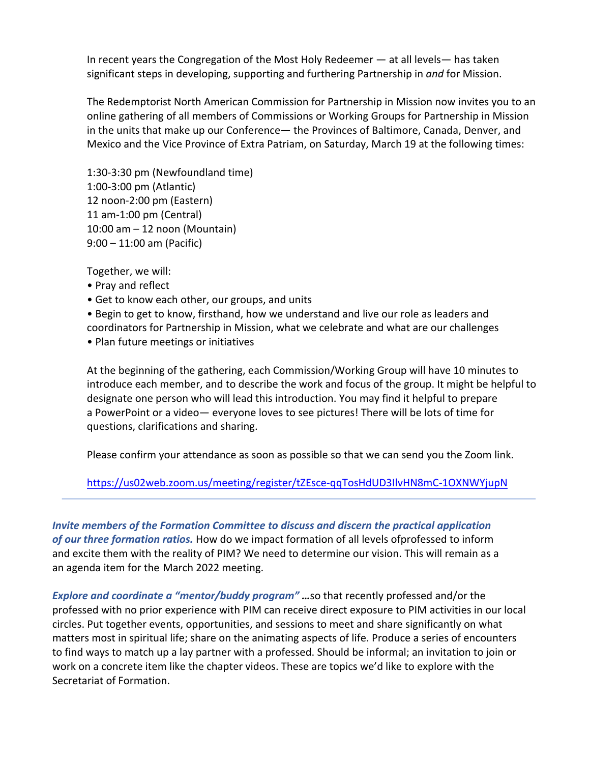In recent years the Congregation of the Most Holy Redeemer — at all levels— has taken significant steps in developing, supporting and furthering Partnership in *and* for Mission.

The Redemptorist North American Commission for Partnership in Mission now invites you to an online gathering of all members of Commissions or Working Groups for Partnership in Mission in the units that make up our Conference— the Provinces of Baltimore, Canada, Denver, and Mexico and the Vice Province of Extra Patriam, on Saturday, March 19 at the following times:

1:30-3:30 pm (Newfoundland time) 1:00-3:00 pm (Atlantic) 12 noon-2:00 pm (Eastern) 11 am-1:00 pm (Central) 10:00 am – 12 noon (Mountain) 9:00 – 11:00 am (Pacific) 

Together, we will:

- Pray and reflect
- Get to know each other, our groups, and units

• Begin to get to know, firsthand, how we understand and live our role as leaders and coordinators for Partnership in Mission, what we celebrate and what are our challenges • Plan future meetings or initiatives

At the beginning of the gathering, each Commission/Working Group will have 10 minutes to introduce each member, and to describe the work and focus of the group. It might be helpful to designate one person who will lead this introduction. You may find it helpful to prepare a PowerPoint or a video— everyone loves to see pictures! There will be lots of time for questions, clarifications and sharing.

Please confirm your attendance as soon as possible so that we can send you the Zoom link.

https://us02web.zoom.us/meeting/register/tZEsce-qqTosHdUD3IlvHN8mC-1OXNWYjupN

*Invite members of the Formation Committee to discuss and discern the practical application of our three formation ratios.* How do we impact formation of all levels ofprofessed to inform and excite them with the reality of PIM? We need to determine our vision. This will remain as a an agenda item for the March 2022 meeting.

*Explore and coordinate a "mentor/buddy program" …*so that recently professed and/or the professed with no prior experience with PIM can receive direct exposure to PIM activities in our local circles. Put together events, opportunities, and sessions to meet and share significantly on what matters most in spiritual life; share on the animating aspects of life. Produce a series of encounters to find ways to match up a lay partner with a professed. Should be informal; an invitation to join or work on a concrete item like the chapter videos. These are topics we'd like to explore with the Secretariat of Formation.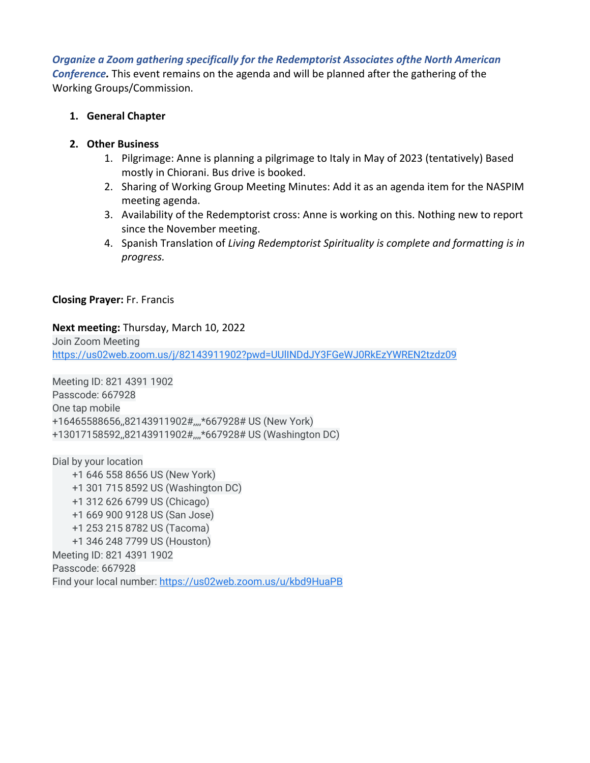*Organize a Zoom gathering specifically for the Redemptorist Associates ofthe North American Conference.* This event remains on the agenda and will be planned after the gathering of the Working Groups/Commission.

## **1. General Chapter**

## **2. Other Business**

- 1. Pilgrimage: Anne is planning a pilgrimage to Italy in May of 2023 (tentatively) Based mostly in Chiorani. Bus drive is booked.
- 2. Sharing of Working Group Meeting Minutes: Add it as an agenda item for the NASPIM meeting agenda.
- 3. Availability of the Redemptorist cross: Anne is working on this. Nothing new to report since the November meeting.
- 4. Spanish Translation of *Living Redemptorist Spirituality is complete and formatting is in progress.*

## **Closing Prayer:** Fr. Francis

## **Next meeting:** Thursday, March 10, 2022

Join Zoom Meeting https://us02web.zoom.us/j/82143911902?pwd=UUlINDdJY3FGeWJ0RkEzYWREN2tzdz09

Meeting ID: 821 4391 1902 Passcode: 667928 One tap mobile +16465588656,,82143911902#,,,,\*667928# US (New York) +13017158592,,82143911902#,,,,\*667928# US (Washington DC)

Dial by your location +1 646 558 8656 US (New York) +1 301 715 8592 US (Washington DC) +1 312 626 6799 US (Chicago) +1 669 900 9128 US (San Jose) +1 253 215 8782 US (Tacoma) +1 346 248 7799 US (Houston) Meeting ID: 821 4391 1902 Passcode: 667928 Find your local number: https://us02web.zoom.us/u/kbd9HuaPB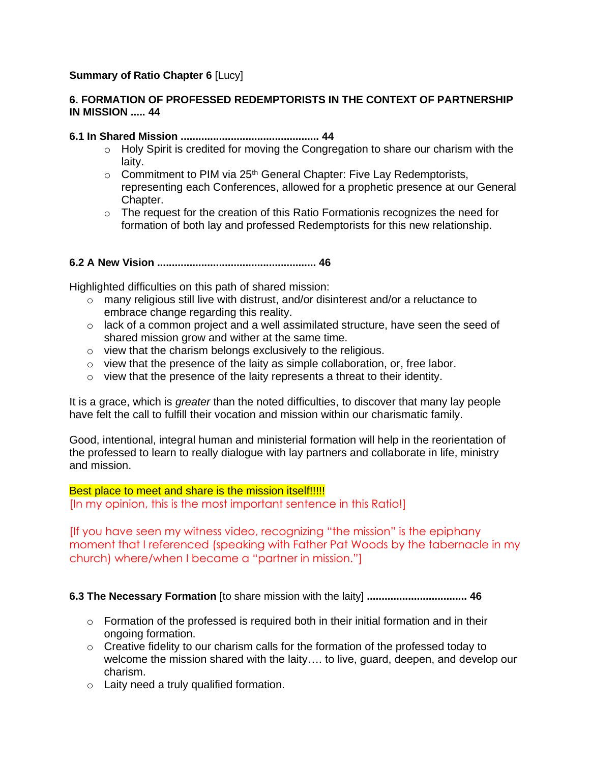## **Summary of Ratio Chapter 6** [Lucy]

## **6. FORMATION OF PROFESSED REDEMPTORISTS IN THE CONTEXT OF PARTNERSHIP IN MISSION ..... 44**

## **6.1 In Shared Mission ............................................... 44**

- $\circ$  Holy Spirit is credited for moving the Congregation to share our charism with the laity.
- $\circ$  Commitment to PIM via 25<sup>th</sup> General Chapter: Five Lay Redemptorists, representing each Conferences, allowed for a prophetic presence at our General Chapter.
- o The request for the creation of this Ratio Formationis recognizes the need for formation of both lay and professed Redemptorists for this new relationship.

## **6.2 A New Vision ...................................................... 46**

Highlighted difficulties on this path of shared mission:

- o many religious still live with distrust, and/or disinterest and/or a reluctance to embrace change regarding this reality.
- o lack of a common project and a well assimilated structure, have seen the seed of shared mission grow and wither at the same time.
- o view that the charism belongs exclusively to the religious.
- o view that the presence of the laity as simple collaboration, or, free labor.
- o view that the presence of the laity represents a threat to their identity.

It is a grace, which is *greater* than the noted difficulties, to discover that many lay people have felt the call to fulfill their vocation and mission within our charismatic family.

Good, intentional, integral human and ministerial formation will help in the reorientation of the professed to learn to really dialogue with lay partners and collaborate in life, ministry and mission.

## Best place to meet and share is the mission itself!!!!!

[In my opinion, this is the most important sentence in this Ratio!]

[If you have seen my witness video, recognizing "the mission" is the epiphany moment that I referenced (speaking with Father Pat Woods by the tabernacle in my church) where/when I became a "partner in mission."]

**6.3 The Necessary Formation** [to share mission with the laity] **.................................. 46** 

- $\circ$  Formation of the professed is required both in their initial formation and in their ongoing formation.
- o Creative fidelity to our charism calls for the formation of the professed today to welcome the mission shared with the laity…. to live, guard, deepen, and develop our charism.
- o Laity need a truly qualified formation.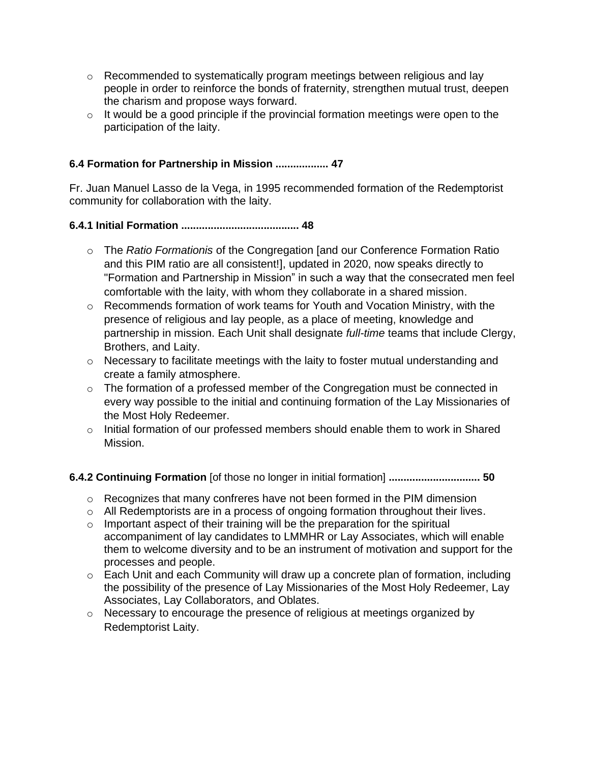- $\circ$  Recommended to systematically program meetings between religious and lay people in order to reinforce the bonds of fraternity, strengthen mutual trust, deepen the charism and propose ways forward.
- $\circ$  It would be a good principle if the provincial formation meetings were open to the participation of the laity.

## **6.4 Formation for Partnership in Mission .................. 47**

Fr. Juan Manuel Lasso de la Vega, in 1995 recommended formation of the Redemptorist community for collaboration with the laity.

## **6.4.1 Initial Formation ........................................ 48**

- o The *Ratio Formationis* of the Congregation [and our Conference Formation Ratio and this PIM ratio are all consistent!], updated in 2020, now speaks directly to "Formation and Partnership in Mission" in such a way that the consecrated men feel comfortable with the laity, with whom they collaborate in a shared mission.
- o Recommends formation of work teams for Youth and Vocation Ministry, with the presence of religious and lay people, as a place of meeting, knowledge and partnership in mission. Each Unit shall designate *full-time* teams that include Clergy, Brothers, and Laity.
- o Necessary to facilitate meetings with the laity to foster mutual understanding and create a family atmosphere.
- o The formation of a professed member of the Congregation must be connected in every way possible to the initial and continuing formation of the Lay Missionaries of the Most Holy Redeemer.
- o Initial formation of our professed members should enable them to work in Shared Mission.

## **6.4.2 Continuing Formation** [of those no longer in initial formation] **............................... 50**

- $\circ$  Recognizes that many confreres have not been formed in the PIM dimension
- o All Redemptorists are in a process of ongoing formation throughout their lives.
- $\circ$  Important aspect of their training will be the preparation for the spiritual accompaniment of lay candidates to LMMHR or Lay Associates, which will enable them to welcome diversity and to be an instrument of motivation and support for the processes and people.
- o Each Unit and each Community will draw up a concrete plan of formation, including the possibility of the presence of Lay Missionaries of the Most Holy Redeemer, Lay Associates, Lay Collaborators, and Oblates.
- o Necessary to encourage the presence of religious at meetings organized by Redemptorist Laity.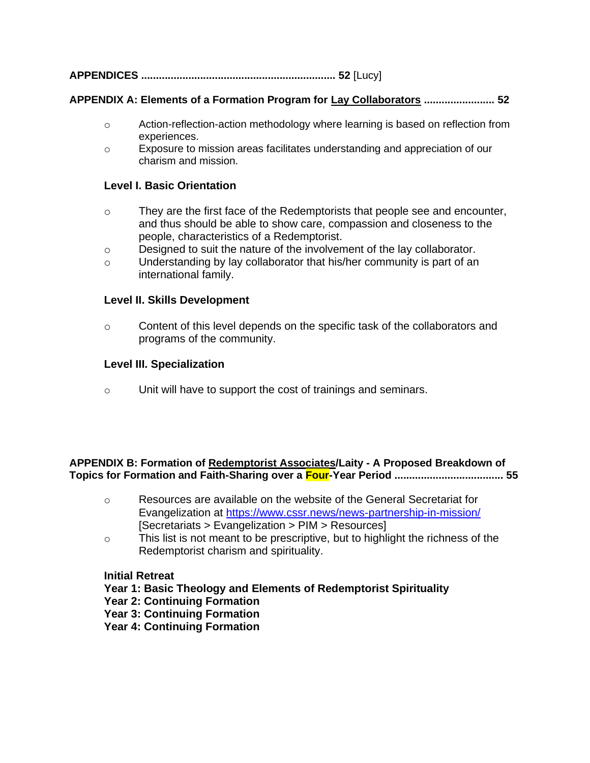**APPENDICES .................................................................. 52** [Lucy]

### **APPENDIX A: Elements of a Formation Program for Lay Collaborators ........................ 52**

- o Action-reflection-action methodology where learning is based on reflection from experiences.
- o Exposure to mission areas facilitates understanding and appreciation of our charism and mission.

#### **Level I. Basic Orientation**

- $\circ$  They are the first face of the Redemptorists that people see and encounter, and thus should be able to show care, compassion and closeness to the people, characteristics of a Redemptorist.
- o Designed to suit the nature of the involvement of the lay collaborator.
- o Understanding by lay collaborator that his/her community is part of an international family.

#### **Level II. Skills Development**

 $\circ$  Content of this level depends on the specific task of the collaborators and programs of the community.

#### **Level III. Specialization**

o Unit will have to support the cost of trainings and seminars.

#### **APPENDIX B: Formation of Redemptorist Associates/Laity - A Proposed Breakdown of Topics for Formation and Faith-Sharing over a Four-Year Period ..................................... 55**

- o Resources are available on the website of the General Secretariat for Evangelization at<https://www.cssr.news/news-partnership-in-mission/> [Secretariats > Evangelization > PIM > Resources]
- $\circ$  This list is not meant to be prescriptive, but to highlight the richness of the Redemptorist charism and spirituality.

#### **Initial Retreat**

- **Year 1: Basic Theology and Elements of Redemptorist Spirituality**
- **Year 2: Continuing Formation**
- **Year 3: Continuing Formation**
- **Year 4: Continuing Formation**